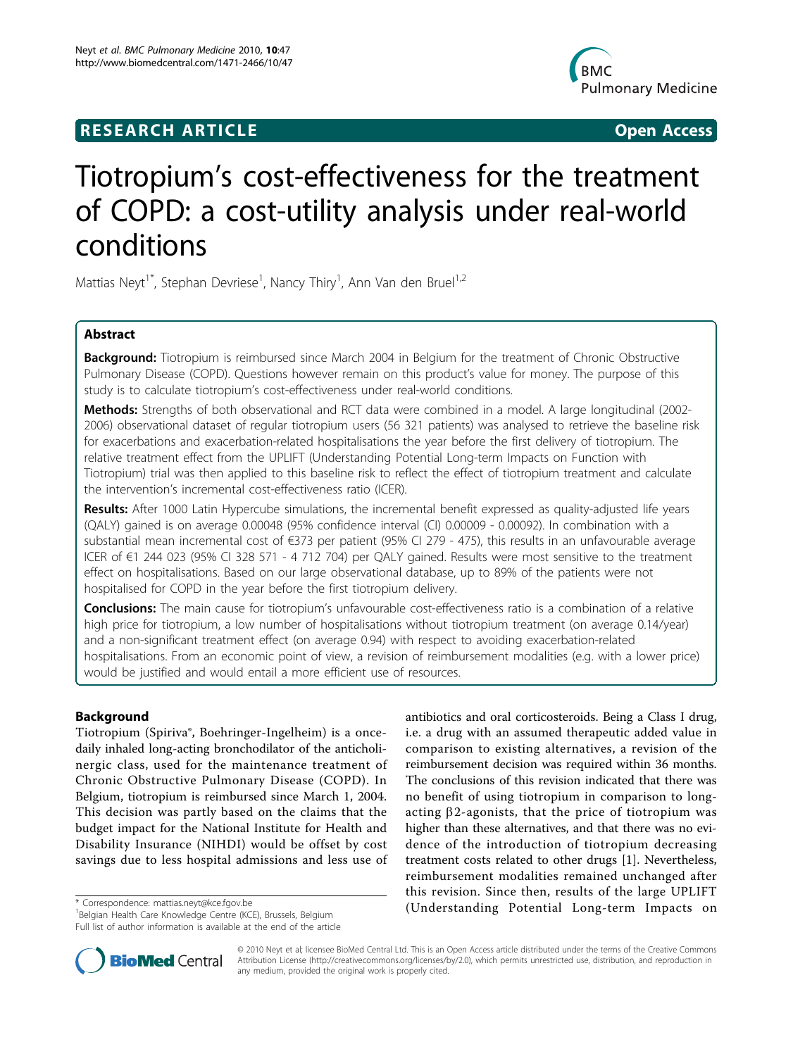## RESEARCH ARTICLE **External of the Contract Contract Contract Contract Contract Contract Contract Contract Contract Contract Contract Contract Contract Contract Contract Contract Contract Contract Contract Contract Contract**



# Tiotropium's cost-effectiveness for the treatment of COPD: a cost-utility analysis under real-world conditions

Mattias Neyt<sup>1\*</sup>, Stephan Devriese<sup>1</sup>, Nancy Thiry<sup>1</sup>, Ann Van den Bruel<sup>1,2</sup>

## Abstract

Background: Tiotropium is reimbursed since March 2004 in Belgium for the treatment of Chronic Obstructive Pulmonary Disease (COPD). Questions however remain on this product's value for money. The purpose of this study is to calculate tiotropium's cost-effectiveness under real-world conditions.

Methods: Strengths of both observational and RCT data were combined in a model. A large longitudinal (2002-2006) observational dataset of regular tiotropium users (56 321 patients) was analysed to retrieve the baseline risk for exacerbations and exacerbation-related hospitalisations the year before the first delivery of tiotropium. The relative treatment effect from the UPLIFT (Understanding Potential Long-term Impacts on Function with Tiotropium) trial was then applied to this baseline risk to reflect the effect of tiotropium treatment and calculate the intervention's incremental cost-effectiveness ratio (ICER).

Results: After 1000 Latin Hypercube simulations, the incremental benefit expressed as quality-adjusted life years (QALY) gained is on average 0.00048 (95% confidence interval (CI) 0.00009 - 0.00092). In combination with a substantial mean incremental cost of €373 per patient (95% CI 279 - 475), this results in an unfavourable average ICER of €1 244 023 (95% CI 328 571 - 4 712 704) per QALY gained. Results were most sensitive to the treatment effect on hospitalisations. Based on our large observational database, up to 89% of the patients were not hospitalised for COPD in the year before the first tiotropium delivery.

**Conclusions:** The main cause for tiotropium's unfavourable cost-effectiveness ratio is a combination of a relative high price for tiotropium, a low number of hospitalisations without tiotropium treatment (on average 0.14/year) and a non-significant treatment effect (on average 0.94) with respect to avoiding exacerbation-related hospitalisations. From an economic point of view, a revision of reimbursement modalities (e.g. with a lower price) would be justified and would entail a more efficient use of resources.

## Background

Tiotropium (Spiriva®, Boehringer-Ingelheim) is a oncedaily inhaled long-acting bronchodilator of the anticholinergic class, used for the maintenance treatment of Chronic Obstructive Pulmonary Disease (COPD). In Belgium, tiotropium is reimbursed since March 1, 2004. This decision was partly based on the claims that the budget impact for the National Institute for Health and Disability Insurance (NIHDI) would be offset by cost savings due to less hospital admissions and less use of

<sup>1</sup> Belgian Health Care Knowledge Centre (KCE), Brussels, Belgium Full list of author information is available at the end of the article





© 2010 Neyt et al; licensee BioMed Central Ltd. This is an Open Access article distributed under the terms of the Creative Commons Attribution License [\(http://creativecommons.org/licenses/by/2.0](http://creativecommons.org/licenses/by/2.0)), which permits unrestricted use, distribution, and reproduction in any medium, provided the original work is properly cited.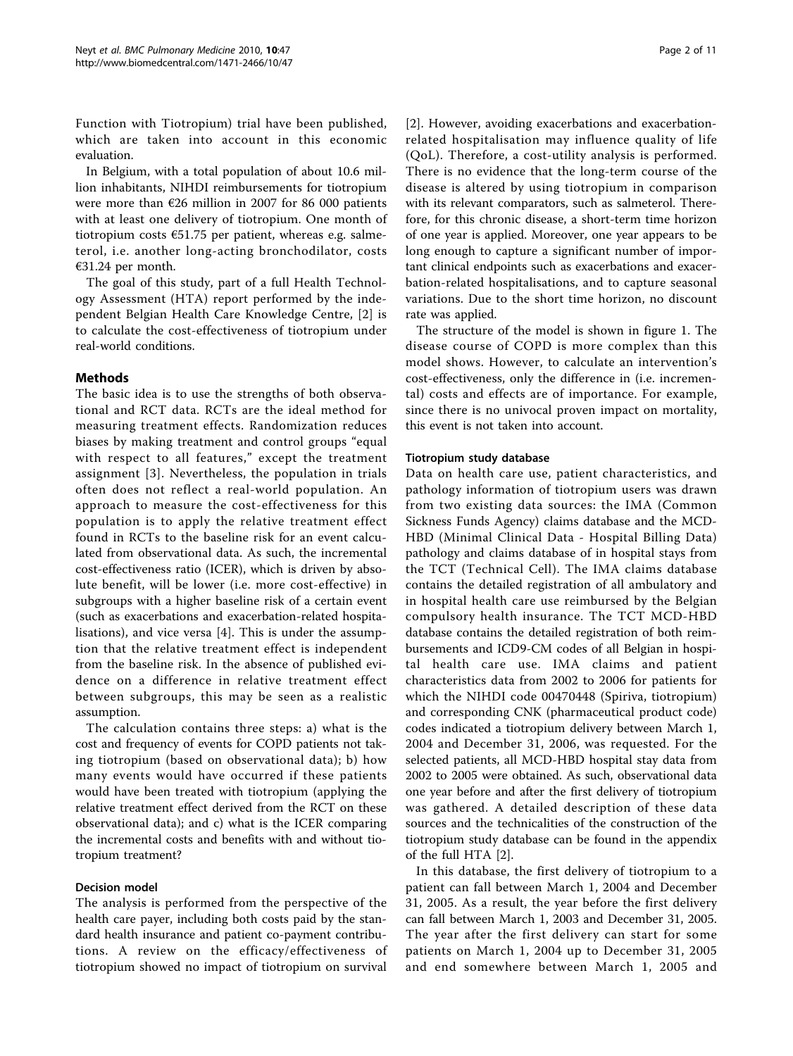Function with Tiotropium) trial have been published, which are taken into account in this economic evaluation.

In Belgium, with a total population of about 10.6 million inhabitants, NIHDI reimbursements for tiotropium were more than €26 million in 2007 for 86 000 patients with at least one delivery of tiotropium. One month of tiotropium costs  $651.75$  per patient, whereas e.g. salmeterol, i.e. another long-acting bronchodilator, costs €31.24 per month.

The goal of this study, part of a full Health Technology Assessment (HTA) report performed by the independent Belgian Health Care Knowledge Centre, [[2](#page-9-0)] is to calculate the cost-effectiveness of tiotropium under real-world conditions.

## Methods

The basic idea is to use the strengths of both observational and RCT data. RCTs are the ideal method for measuring treatment effects. Randomization reduces biases by making treatment and control groups "equal with respect to all features," except the treatment assignment [[3\]](#page-9-0). Nevertheless, the population in trials often does not reflect a real-world population. An approach to measure the cost-effectiveness for this population is to apply the relative treatment effect found in RCTs to the baseline risk for an event calculated from observational data. As such, the incremental cost-effectiveness ratio (ICER), which is driven by absolute benefit, will be lower (i.e. more cost-effective) in subgroups with a higher baseline risk of a certain event (such as exacerbations and exacerbation-related hospitalisations), and vice versa [[4\]](#page-9-0). This is under the assumption that the relative treatment effect is independent from the baseline risk. In the absence of published evidence on a difference in relative treatment effect between subgroups, this may be seen as a realistic assumption.

The calculation contains three steps: a) what is the cost and frequency of events for COPD patients not taking tiotropium (based on observational data); b) how many events would have occurred if these patients would have been treated with tiotropium (applying the relative treatment effect derived from the RCT on these observational data); and c) what is the ICER comparing the incremental costs and benefits with and without tiotropium treatment?

#### Decision model

The analysis is performed from the perspective of the health care payer, including both costs paid by the standard health insurance and patient co-payment contributions. A review on the efficacy/effectiveness of tiotropium showed no impact of tiotropium on survival

[[2\]](#page-9-0). However, avoiding exacerbations and exacerbationrelated hospitalisation may influence quality of life (QoL). Therefore, a cost-utility analysis is performed. There is no evidence that the long-term course of the disease is altered by using tiotropium in comparison with its relevant comparators, such as salmeterol. Therefore, for this chronic disease, a short-term time horizon of one year is applied. Moreover, one year appears to be long enough to capture a significant number of important clinical endpoints such as exacerbations and exacerbation-related hospitalisations, and to capture seasonal variations. Due to the short time horizon, no discount

The structure of the model is shown in figure [1](#page-2-0). The disease course of COPD is more complex than this model shows. However, to calculate an intervention's cost-effectiveness, only the difference in (i.e. incremental) costs and effects are of importance. For example, since there is no univocal proven impact on mortality, this event is not taken into account.

#### Tiotropium study database

rate was applied.

Data on health care use, patient characteristics, and pathology information of tiotropium users was drawn from two existing data sources: the IMA (Common Sickness Funds Agency) claims database and the MCD-HBD (Minimal Clinical Data - Hospital Billing Data) pathology and claims database of in hospital stays from the TCT (Technical Cell). The IMA claims database contains the detailed registration of all ambulatory and in hospital health care use reimbursed by the Belgian compulsory health insurance. The TCT MCD-HBD database contains the detailed registration of both reimbursements and ICD9-CM codes of all Belgian in hospital health care use. IMA claims and patient characteristics data from 2002 to 2006 for patients for which the NIHDI code 00470448 (Spiriva, tiotropium) and corresponding CNK (pharmaceutical product code) codes indicated a tiotropium delivery between March 1, 2004 and December 31, 2006, was requested. For the selected patients, all MCD-HBD hospital stay data from 2002 to 2005 were obtained. As such, observational data one year before and after the first delivery of tiotropium was gathered. A detailed description of these data sources and the technicalities of the construction of the tiotropium study database can be found in the appendix of the full HTA [[2\]](#page-9-0).

In this database, the first delivery of tiotropium to a patient can fall between March 1, 2004 and December 31, 2005. As a result, the year before the first delivery can fall between March 1, 2003 and December 31, 2005. The year after the first delivery can start for some patients on March 1, 2004 up to December 31, 2005 and end somewhere between March 1, 2005 and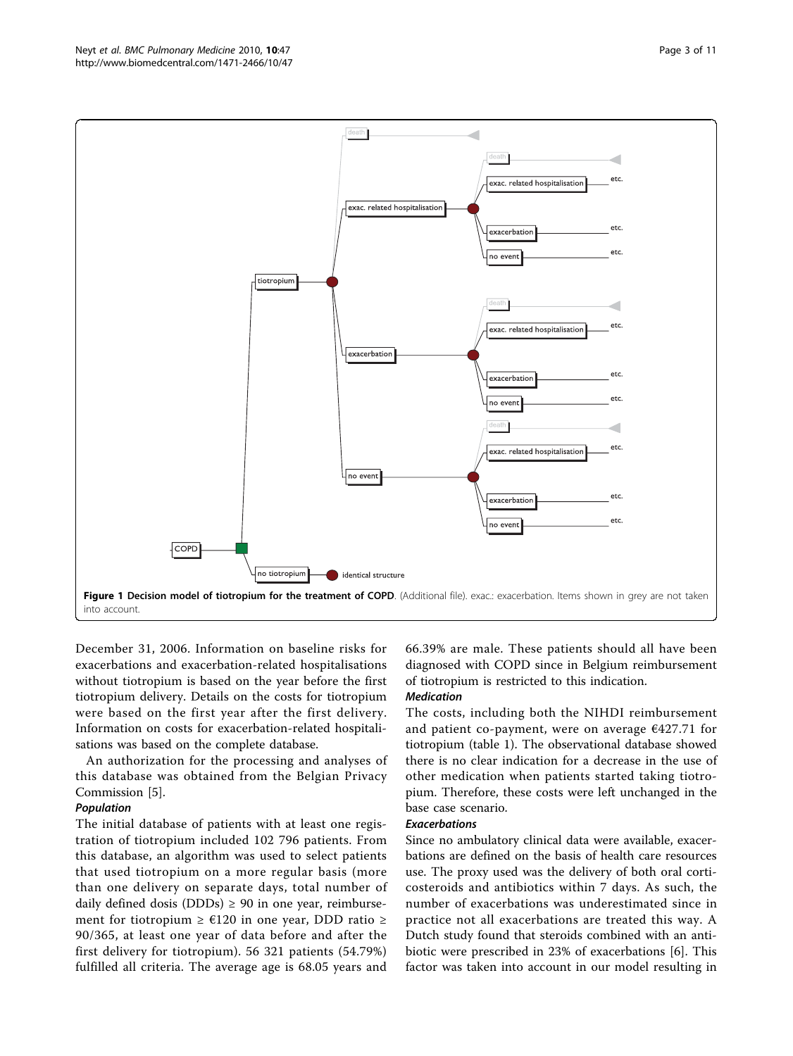<span id="page-2-0"></span>

December 31, 2006. Information on baseline risks for exacerbations and exacerbation-related hospitalisations without tiotropium is based on the year before the first tiotropium delivery. Details on the costs for tiotropium were based on the first year after the first delivery. Information on costs for exacerbation-related hospitalisations was based on the complete database.

An authorization for the processing and analyses of this database was obtained from the Belgian Privacy Commission [\[5](#page-9-0)].

#### Population

The initial database of patients with at least one registration of tiotropium included 102 796 patients. From this database, an algorithm was used to select patients that used tiotropium on a more regular basis (more than one delivery on separate days, total number of daily defined dosis (DDDs)  $\geq$  90 in one year, reimbursement for tiotropium ≥ €120 in one year, DDD ratio ≥ 90/365, at least one year of data before and after the first delivery for tiotropium). 56 321 patients (54.79%) fulfilled all criteria. The average age is 68.05 years and 66.39% are male. These patients should all have been diagnosed with COPD since in Belgium reimbursement of tiotropium is restricted to this indication.

#### Medication

The costs, including both the NIHDI reimbursement and patient co-payment, were on average  $€427.71$  for tiotropium (table [1](#page-3-0)). The observational database showed there is no clear indication for a decrease in the use of other medication when patients started taking tiotropium. Therefore, these costs were left unchanged in the base case scenario.

## Exacerbations

Since no ambulatory clinical data were available, exacerbations are defined on the basis of health care resources use. The proxy used was the delivery of both oral corticosteroids and antibiotics within 7 days. As such, the number of exacerbations was underestimated since in practice not all exacerbations are treated this way. A Dutch study found that steroids combined with an antibiotic were prescribed in 23% of exacerbations [\[6](#page-9-0)]. This factor was taken into account in our model resulting in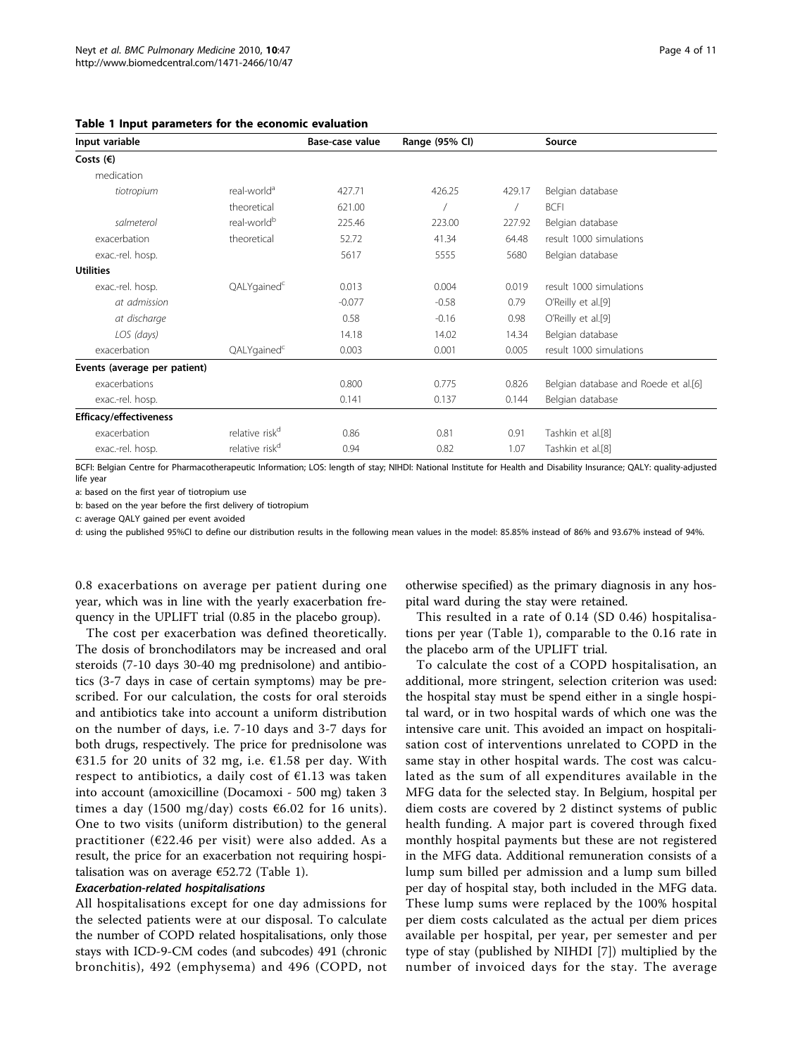| Input variable                |                            | Base-case value | Range (95% CI) |        | Source                               |
|-------------------------------|----------------------------|-----------------|----------------|--------|--------------------------------------|
| Costs $(\epsilon)$            |                            |                 |                |        |                                      |
| medication                    |                            |                 |                |        |                                      |
| tiotropium                    | real-world <sup>a</sup>    | 427.71          | 426.25         | 429.17 | Belgian database                     |
|                               | theoretical                | 621.00          |                |        | <b>BCFI</b>                          |
| salmeterol                    | real-world <sup>b</sup>    | 225.46          | 223.00         | 227.92 | Belgian database                     |
| exacerbation                  | theoretical                | 52.72           | 41.34          | 64.48  | result 1000 simulations              |
| exac.-rel. hosp.              |                            | 5617            | 5555           | 5680   | Belgian database                     |
| <b>Utilities</b>              |                            |                 |                |        |                                      |
| exac.-rel. hosp.              | QALYgained <sup>c</sup>    | 0.013           | 0.004          | 0.019  | result 1000 simulations              |
| at admission                  |                            | $-0.077$        | $-0.58$        | 0.79   | O'Reilly et al.[9]                   |
| at discharge                  |                            | 0.58            | $-0.16$        | 0.98   | O'Reilly et al.[9]                   |
| LOS (days)                    |                            | 14.18           | 14.02          | 14.34  | Belgian database                     |
| exacerbation                  | QALYgained <sup>c</sup>    | 0.003           | 0.001          | 0.005  | result 1000 simulations              |
| Events (average per patient)  |                            |                 |                |        |                                      |
| exacerbations                 |                            | 0.800           | 0.775          | 0.826  | Belgian database and Roede et al.[6] |
| exac.-rel. hosp.              |                            | 0.141           | 0.137          | 0.144  | Belgian database                     |
| <b>Efficacy/effectiveness</b> |                            |                 |                |        |                                      |
| exacerbation                  | relative risk <sup>d</sup> | 0.86            | 0.81           | 0.91   | Tashkin et al.[8]                    |
| exac.-rel. hosp.              | relative risk <sup>d</sup> | 0.94            | 0.82           | 1.07   | Tashkin et al.[8]                    |
|                               |                            |                 |                |        |                                      |

<span id="page-3-0"></span>Table 1 Input parameters for the economic evaluation

BCFI: Belgian Centre for Pharmacotherapeutic Information; LOS: length of stay; NIHDI: National Institute for Health and Disability Insurance; QALY: quality-adjusted life year

a: based on the first year of tiotropium use

b: based on the year before the first delivery of tiotropium

c: average QALY gained per event avoided

d: using the published 95%CI to define our distribution results in the following mean values in the model: 85.85% instead of 86% and 93.67% instead of 94%.

0.8 exacerbations on average per patient during one year, which was in line with the yearly exacerbation frequency in the UPLIFT trial (0.85 in the placebo group).

The cost per exacerbation was defined theoretically. The dosis of bronchodilators may be increased and oral steroids (7-10 days 30-40 mg prednisolone) and antibiotics (3-7 days in case of certain symptoms) may be prescribed. For our calculation, the costs for oral steroids and antibiotics take into account a uniform distribution on the number of days, i.e. 7-10 days and 3-7 days for both drugs, respectively. The price for prednisolone was €31.5 for 20 units of 32 mg, i.e.  $€1.58$  per day. With respect to antibiotics, a daily cost of  $E1.13$  was taken into account (amoxicilline (Docamoxi - 500 mg) taken 3 times a day (1500 mg/day) costs  $6.02$  for 16 units). One to two visits (uniform distribution) to the general practitioner ( $\epsilon$ 22.46 per visit) were also added. As a result, the price for an exacerbation not requiring hospitalisation was on average  $\epsilon$ 52.72 (Table 1).

#### Exacerbation-related hospitalisations

All hospitalisations except for one day admissions for the selected patients were at our disposal. To calculate the number of COPD related hospitalisations, only those stays with ICD-9-CM codes (and subcodes) 491 (chronic bronchitis), 492 (emphysema) and 496 (COPD, not

otherwise specified) as the primary diagnosis in any hospital ward during the stay were retained.

This resulted in a rate of 0.14 (SD 0.46) hospitalisations per year (Table 1), comparable to the 0.16 rate in the placebo arm of the UPLIFT trial.

To calculate the cost of a COPD hospitalisation, an additional, more stringent, selection criterion was used: the hospital stay must be spend either in a single hospital ward, or in two hospital wards of which one was the intensive care unit. This avoided an impact on hospitalisation cost of interventions unrelated to COPD in the same stay in other hospital wards. The cost was calculated as the sum of all expenditures available in the MFG data for the selected stay. In Belgium, hospital per diem costs are covered by 2 distinct systems of public health funding. A major part is covered through fixed monthly hospital payments but these are not registered in the MFG data. Additional remuneration consists of a lump sum billed per admission and a lump sum billed per day of hospital stay, both included in the MFG data. These lump sums were replaced by the 100% hospital per diem costs calculated as the actual per diem prices available per hospital, per year, per semester and per type of stay (published by NIHDI [[7\]](#page-9-0)) multiplied by the number of invoiced days for the stay. The average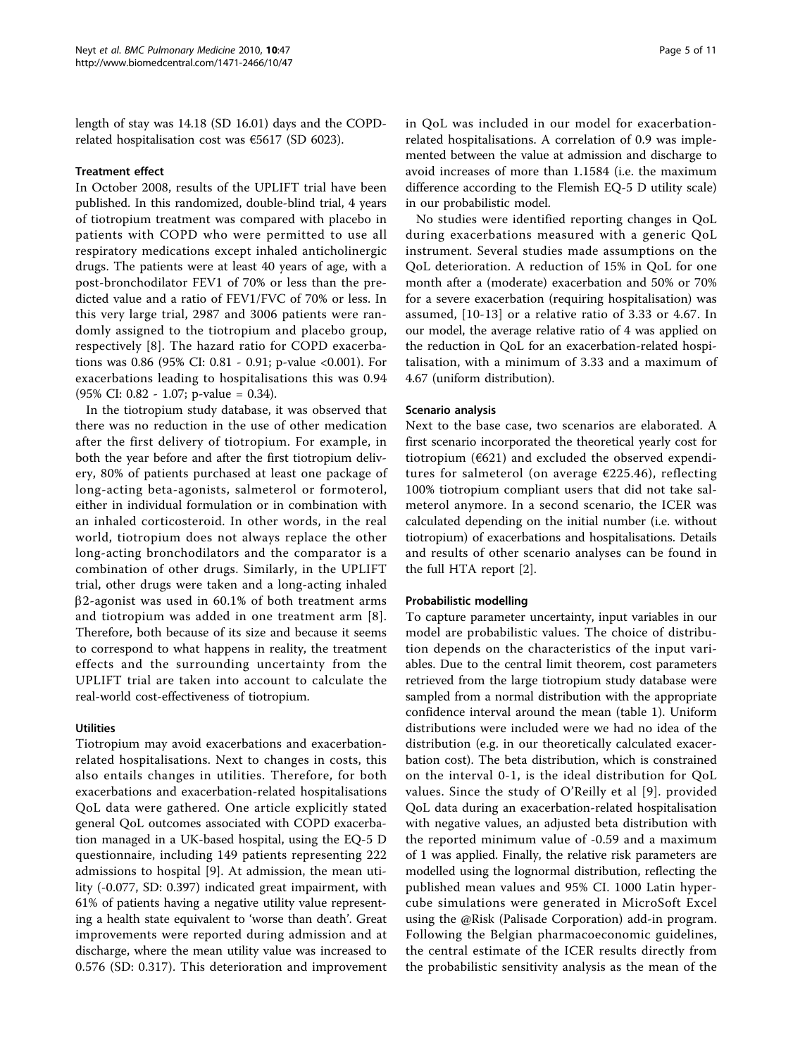length of stay was 14.18 (SD 16.01) days and the COPDrelated hospitalisation cost was €5617 (SD 6023).

#### Treatment effect

In October 2008, results of the UPLIFT trial have been published. In this randomized, double-blind trial, 4 years of tiotropium treatment was compared with placebo in patients with COPD who were permitted to use all respiratory medications except inhaled anticholinergic drugs. The patients were at least 40 years of age, with a post-bronchodilator FEV1 of 70% or less than the predicted value and a ratio of FEV1/FVC of 70% or less. In this very large trial, 2987 and 3006 patients were randomly assigned to the tiotropium and placebo group, respectively [\[8](#page-9-0)]. The hazard ratio for COPD exacerbations was 0.86 (95% CI: 0.81 - 0.91; p-value <0.001). For exacerbations leading to hospitalisations this was 0.94 (95% CI: 0.82 - 1.07; p-value = 0.34).

In the tiotropium study database, it was observed that there was no reduction in the use of other medication after the first delivery of tiotropium. For example, in both the year before and after the first tiotropium delivery, 80% of patients purchased at least one package of long-acting beta-agonists, salmeterol or formoterol, either in individual formulation or in combination with an inhaled corticosteroid. In other words, in the real world, tiotropium does not always replace the other long-acting bronchodilators and the comparator is a combination of other drugs. Similarly, in the UPLIFT trial, other drugs were taken and a long-acting inhaled  $\beta$ 2-agonist was used in 60.1% of both treatment arms and tiotropium was added in one treatment arm [[8\]](#page-9-0). Therefore, both because of its size and because it seems to correspond to what happens in reality, the treatment effects and the surrounding uncertainty from the UPLIFT trial are taken into account to calculate the real-world cost-effectiveness of tiotropium.

#### **Utilities**

Tiotropium may avoid exacerbations and exacerbationrelated hospitalisations. Next to changes in costs, this also entails changes in utilities. Therefore, for both exacerbations and exacerbation-related hospitalisations QoL data were gathered. One article explicitly stated general QoL outcomes associated with COPD exacerbation managed in a UK-based hospital, using the EQ-5 D questionnaire, including 149 patients representing 222 admissions to hospital [\[9](#page-9-0)]. At admission, the mean utility (-0.077, SD: 0.397) indicated great impairment, with 61% of patients having a negative utility value representing a health state equivalent to 'worse than death'. Great improvements were reported during admission and at discharge, where the mean utility value was increased to 0.576 (SD: 0.317). This deterioration and improvement in QoL was included in our model for exacerbationrelated hospitalisations. A correlation of 0.9 was implemented between the value at admission and discharge to avoid increases of more than 1.1584 (i.e. the maximum difference according to the Flemish EQ-5 D utility scale) in our probabilistic model.

No studies were identified reporting changes in QoL during exacerbations measured with a generic QoL instrument. Several studies made assumptions on the QoL deterioration. A reduction of 15% in QoL for one month after a (moderate) exacerbation and 50% or 70% for a severe exacerbation (requiring hospitalisation) was assumed, [\[10-13\]](#page-9-0) or a relative ratio of 3.33 or 4.67. In our model, the average relative ratio of 4 was applied on the reduction in QoL for an exacerbation-related hospitalisation, with a minimum of 3.33 and a maximum of 4.67 (uniform distribution).

#### Scenario analysis

Next to the base case, two scenarios are elaborated. A first scenario incorporated the theoretical yearly cost for tiotropium ( $6621$ ) and excluded the observed expenditures for salmeterol (on average €225.46), reflecting 100% tiotropium compliant users that did not take salmeterol anymore. In a second scenario, the ICER was calculated depending on the initial number (i.e. without tiotropium) of exacerbations and hospitalisations. Details and results of other scenario analyses can be found in the full HTA report [[2\]](#page-9-0).

#### Probabilistic modelling

To capture parameter uncertainty, input variables in our model are probabilistic values. The choice of distribution depends on the characteristics of the input variables. Due to the central limit theorem, cost parameters retrieved from the large tiotropium study database were sampled from a normal distribution with the appropriate confidence interval around the mean (table [1](#page-3-0)). Uniform distributions were included were we had no idea of the distribution (e.g. in our theoretically calculated exacerbation cost). The beta distribution, which is constrained on the interval 0-1, is the ideal distribution for QoL values. Since the study of O'Reilly et al [[9\]](#page-9-0). provided QoL data during an exacerbation-related hospitalisation with negative values, an adjusted beta distribution with the reported minimum value of -0.59 and a maximum of 1 was applied. Finally, the relative risk parameters are modelled using the lognormal distribution, reflecting the published mean values and 95% CI. 1000 Latin hypercube simulations were generated in MicroSoft Excel using the @Risk (Palisade Corporation) add-in program. Following the Belgian pharmacoeconomic guidelines, the central estimate of the ICER results directly from the probabilistic sensitivity analysis as the mean of the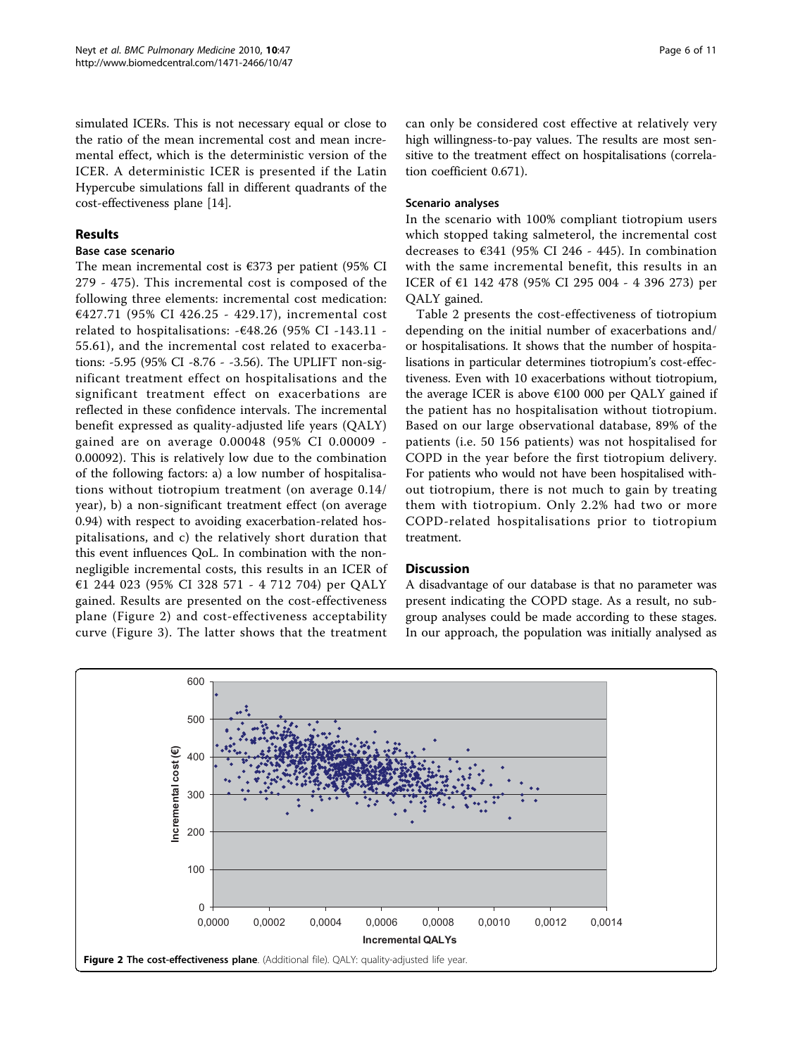simulated ICERs. This is not necessary equal or close to the ratio of the mean incremental cost and mean incremental effect, which is the deterministic version of the ICER. A deterministic ICER is presented if the Latin Hypercube simulations fall in different quadrants of the cost-effectiveness plane [[14\]](#page-9-0).

### Results

## Base case scenario

The mean incremental cost is  $€373$  per patient (95% CI 279 - 475). This incremental cost is composed of the following three elements: incremental cost medication: €427.71 (95% CI 426.25 - 429.17), incremental cost related to hospitalisations:  $-\epsilon$ 48.26 (95% CI -143.11 -55.61), and the incremental cost related to exacerbations: -5.95 (95% CI -8.76 - -3.56). The UPLIFT non-significant treatment effect on hospitalisations and the significant treatment effect on exacerbations are reflected in these confidence intervals. The incremental benefit expressed as quality-adjusted life years (QALY) gained are on average 0.00048 (95% CI 0.00009 - 0.00092). This is relatively low due to the combination of the following factors: a) a low number of hospitalisations without tiotropium treatment (on average 0.14/ year), b) a non-significant treatment effect (on average 0.94) with respect to avoiding exacerbation-related hospitalisations, and c) the relatively short duration that this event influences QoL. In combination with the nonnegligible incremental costs, this results in an ICER of €1 244 023 (95% CI 328 571 - 4 712 704) per QALY gained. Results are presented on the cost-effectiveness plane (Figure 2) and cost-effectiveness acceptability curve (Figure [3\)](#page-6-0). The latter shows that the treatment can only be considered cost effective at relatively very high willingness-to-pay values. The results are most sensitive to the treatment effect on hospitalisations (correlation coefficient 0.671).

#### Scenario analyses

In the scenario with 100% compliant tiotropium users which stopped taking salmeterol, the incremental cost decreases to €341 (95% CI 246 - 445). In combination with the same incremental benefit, this results in an ICER of €1 142 478 (95% CI 295 004 - 4 396 273) per QALY gained.

Table [2](#page-7-0) presents the cost-effectiveness of tiotropium depending on the initial number of exacerbations and/ or hospitalisations. It shows that the number of hospitalisations in particular determines tiotropium's cost-effectiveness. Even with 10 exacerbations without tiotropium, the average ICER is above  $\epsilon$ 100 000 per QALY gained if the patient has no hospitalisation without tiotropium. Based on our large observational database, 89% of the patients (i.e. 50 156 patients) was not hospitalised for COPD in the year before the first tiotropium delivery. For patients who would not have been hospitalised without tiotropium, there is not much to gain by treating them with tiotropium. Only 2.2% had two or more COPD-related hospitalisations prior to tiotropium treatment.

## **Discussion**

A disadvantage of our database is that no parameter was present indicating the COPD stage. As a result, no subgroup analyses could be made according to these stages. In our approach, the population was initially analysed as

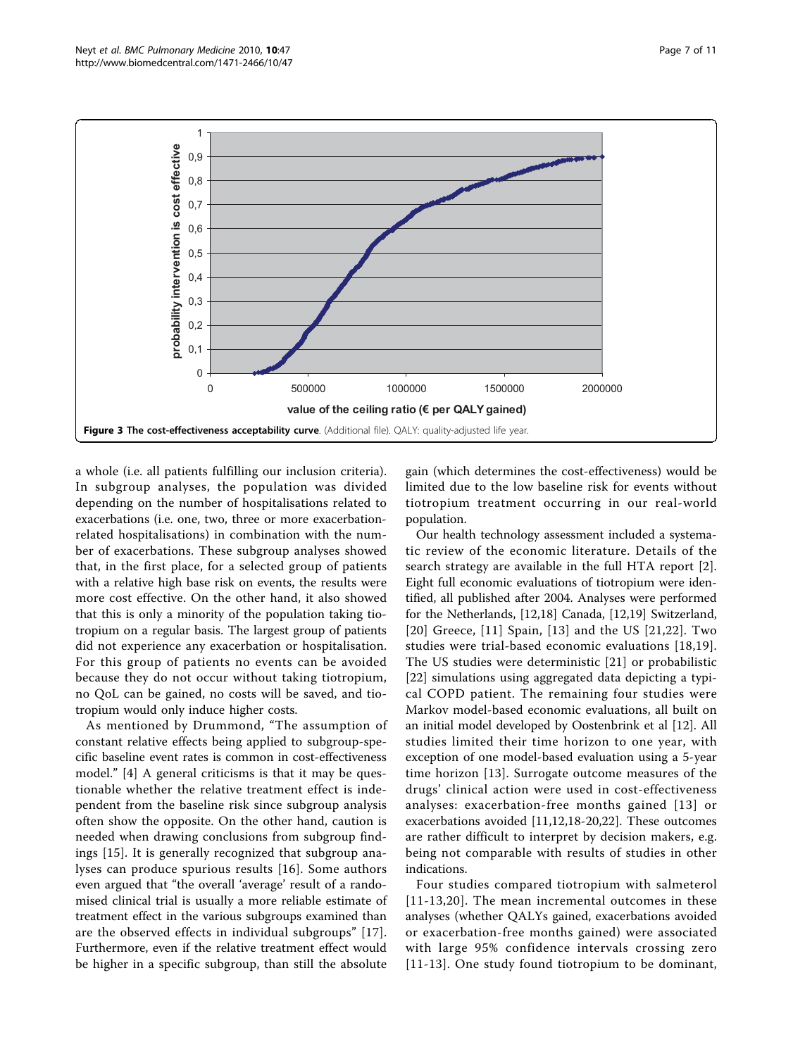<span id="page-6-0"></span>

a whole (i.e. all patients fulfilling our inclusion criteria). In subgroup analyses, the population was divided depending on the number of hospitalisations related to exacerbations (i.e. one, two, three or more exacerbationrelated hospitalisations) in combination with the number of exacerbations. These subgroup analyses showed that, in the first place, for a selected group of patients with a relative high base risk on events, the results were more cost effective. On the other hand, it also showed that this is only a minority of the population taking tiotropium on a regular basis. The largest group of patients did not experience any exacerbation or hospitalisation. For this group of patients no events can be avoided because they do not occur without taking tiotropium, no QoL can be gained, no costs will be saved, and tiotropium would only induce higher costs.

As mentioned by Drummond, "The assumption of constant relative effects being applied to subgroup-specific baseline event rates is common in cost-effectiveness model." [\[4](#page-9-0)] A general criticisms is that it may be questionable whether the relative treatment effect is independent from the baseline risk since subgroup analysis often show the opposite. On the other hand, caution is needed when drawing conclusions from subgroup findings [\[15](#page-9-0)]. It is generally recognized that subgroup analyses can produce spurious results [[16](#page-10-0)]. Some authors even argued that "the overall 'average' result of a randomised clinical trial is usually a more reliable estimate of treatment effect in the various subgroups examined than are the observed effects in individual subgroups" [[17](#page-10-0)]. Furthermore, even if the relative treatment effect would be higher in a specific subgroup, than still the absolute

gain (which determines the cost-effectiveness) would be limited due to the low baseline risk for events without tiotropium treatment occurring in our real-world population.

Our health technology assessment included a systematic review of the economic literature. Details of the search strategy are available in the full HTA report [[2](#page-9-0)]. Eight full economic evaluations of tiotropium were identified, all published after 2004. Analyses were performed for the Netherlands, [[12,](#page-9-0)[18\]](#page-10-0) Canada, [[12,](#page-9-0)[19\]](#page-10-0) Switzerland, [[20](#page-10-0)] Greece, [\[11\]](#page-9-0) Spain, [[13\]](#page-9-0) and the US [[21,22](#page-10-0)]. Two studies were trial-based economic evaluations [[18](#page-10-0),[19](#page-10-0)]. The US studies were deterministic [[21\]](#page-10-0) or probabilistic [[22\]](#page-10-0) simulations using aggregated data depicting a typical COPD patient. The remaining four studies were Markov model-based economic evaluations, all built on an initial model developed by Oostenbrink et al [\[12\]](#page-9-0). All studies limited their time horizon to one year, with exception of one model-based evaluation using a 5-year time horizon [[13\]](#page-9-0). Surrogate outcome measures of the drugs' clinical action were used in cost-effectiveness analyses: exacerbation-free months gained [[13\]](#page-9-0) or exacerbations avoided [\[11](#page-9-0),[12](#page-9-0),[18-20,22](#page-10-0)]. These outcomes are rather difficult to interpret by decision makers, e.g. being not comparable with results of studies in other indications.

Four studies compared tiotropium with salmeterol [[11-13,](#page-9-0)[20\]](#page-10-0). The mean incremental outcomes in these analyses (whether QALYs gained, exacerbations avoided or exacerbation-free months gained) were associated with large 95% confidence intervals crossing zero [[11](#page-9-0)-[13\]](#page-9-0). One study found tiotropium to be dominant,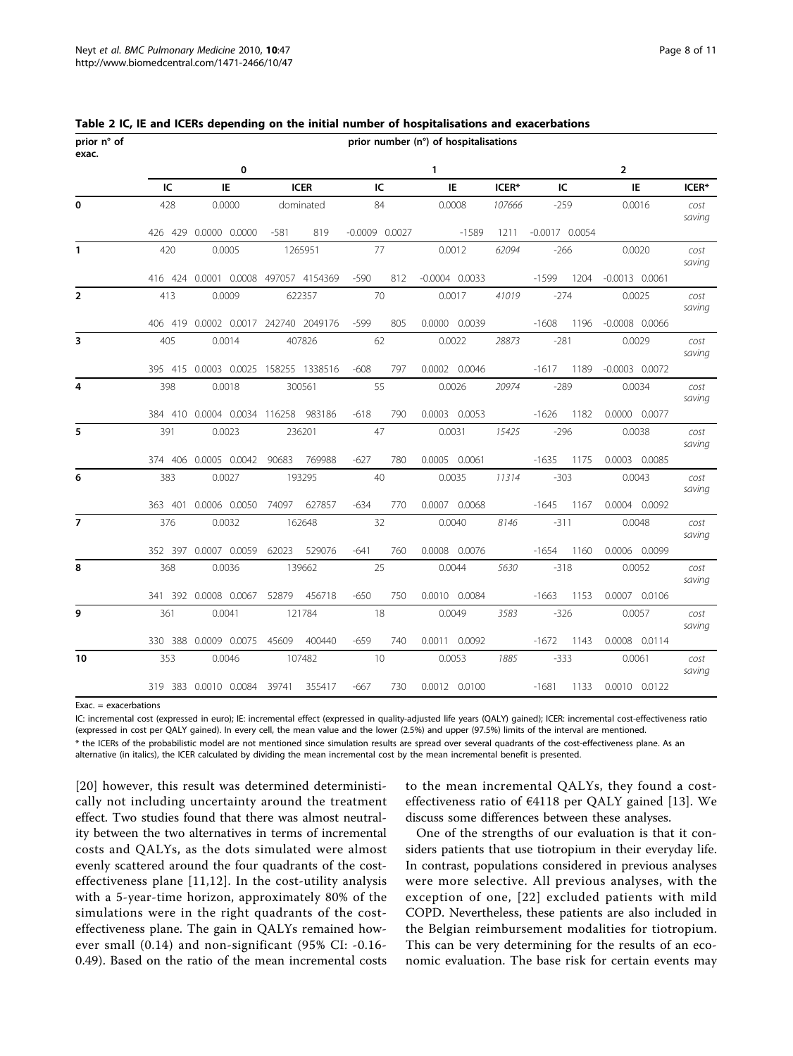| prior n° of<br>exac. | prior number (n°) of hospitalisations |                             |                                      |                                 |                       |                           |        |                  |                |                    |                  |                |  |
|----------------------|---------------------------------------|-----------------------------|--------------------------------------|---------------------------------|-----------------------|---------------------------|--------|------------------|----------------|--------------------|------------------|----------------|--|
|                      |                                       | 0                           |                                      |                                 | $\mathbf{1}$          |                           |        |                  | 2              |                    |                  |                |  |
|                      | IC                                    | IE                          | <b>ICER</b>                          |                                 | IC                    | IE                        | ICER*  | IC               |                | IE.                | ICER*            |                |  |
| $\mathbf 0$          | 428                                   | 0.0000                      | dominated                            |                                 | 84                    | 0.0008<br>107666          |        | $-259$           |                | 0.0016             |                  | cost<br>saving |  |
|                      |                                       | 426 429 0.0000 0.0000       | 819<br>$-581$                        |                                 | $-0.0009$ $0.0027$    | $-1589$                   | 1211   | $-0.0017$ 0.0054 |                |                    |                  |                |  |
| $\mathbf{1}$         | 420                                   | 0.0005                      | 1265951                              |                                 | 77                    | 0.0012                    | 62094  | $-266$           |                |                    | 0.0020           | cost<br>saving |  |
|                      |                                       |                             | 416 424 0.0001 0.0008 497057 4154369 | $-590$                          | 812                   | $-0.0004$ $0.0033$        |        | $-1599$          | 1204           | $-0.0013$ $0.0061$ |                  |                |  |
| $\overline{2}$       | 413                                   | 0.0009                      | 622357                               |                                 | 70                    | 0.0017                    | 41019  | $-274$           |                |                    | 0.0025           | cost<br>saving |  |
|                      |                                       |                             | 406 419 0.0002 0.0017 242740 2049176 | $-599$                          | 805                   | 0.0000 0.0039             |        | $-1608$          | 1196           |                    | $-0.0008$ 0.0066 |                |  |
| 3                    | 405                                   | 0.0014                      | 407826                               |                                 | 62                    | 0.0022<br>28873<br>$-281$ |        |                  |                | 0.0029             | cost<br>saving   |                |  |
|                      |                                       |                             | 395 415 0.0003 0.0025 158255 1338516 | $-608$                          | 797                   | 0.0002 0.0046             |        | $-1617$          | 1189           |                    | $-0.0003$ 0.0072 |                |  |
| 4                    | 398<br>0.0018                         |                             | 300561                               |                                 | 55                    | 0.0026                    | 20974  | $-289$           |                | 0.0034             |                  | cost<br>saving |  |
|                      |                                       |                             | 384 410 0.0004 0.0034 116258 983186  | $-618$                          | 790                   | 0.0003 0.0053             |        | $-1626$          | 1182           |                    | 0.0000 0.0077    |                |  |
| 5                    | 391                                   | 0.0023                      | 236201                               |                                 | 47<br>0.0031<br>15425 |                           | $-296$ |                  | 0.0038         |                    | cost<br>saving   |                |  |
|                      |                                       | 374 406 0.0005 0.0042       | 90683<br>769988                      | $-627$                          | 780                   | 0.0005 0.0061             |        | $-1635$          | 1175           |                    | 0.0003 0.0085    |                |  |
| 6                    | 383                                   | 0.0027                      | 193295                               | 40<br>0.0035<br>11314<br>$-303$ |                       |                           | 0.0043 |                  | cost<br>saving |                    |                  |                |  |
|                      |                                       | 363 401 0.0006 0.0050 74097 | 627857                               | $-634$                          | 770                   | 0.0007 0.0068             |        | $-1645$          | 1167           |                    | 0.0004 0.0092    |                |  |
| $\overline{7}$       | 376                                   | 0.0032                      | 162648                               |                                 | 32                    | 0.0040                    | 8146   | $-311$           |                |                    | 0.0048           | cost<br>saving |  |
|                      |                                       | 352 397 0.0007 0.0059       | 62023<br>529076                      | $-641$                          | 760                   | 0.0008 0.0076             |        | $-1654$          | 1160           |                    | 0.0006 0.0099    |                |  |
| 8                    | 368                                   | 0.0036                      | 139662                               |                                 | 25                    | 0.0044                    | 5630   | $-318$           |                | 0.0052             |                  | cost<br>saving |  |
|                      |                                       | 341 392 0.0008 0.0067       | 52879 456718                         | $-650$                          | 750                   | 0.0010 0.0084             |        | $-1663$          | 1153           |                    | 0.0007 0.0106    |                |  |
| 9                    | 361                                   | 0.0041                      | 121784                               |                                 | 18                    | 3583<br>0.0049            |        | $-326$           |                | 0.0057             |                  | cost<br>saving |  |
|                      |                                       | 330 388 0.0009 0.0075 45609 | 400440                               | $-659$                          | 740                   | 0.0011 0.0092             |        | $-1672$          | - 1143         |                    | 0.0008 0.0114    |                |  |
| 10                   | 353                                   | 0.0046                      | 107482                               | 10                              |                       | 0.0053                    | 1885   |                  | $-333$         |                    | 0.0061           |                |  |
|                      |                                       | 319 383 0.0010 0.0084       | 39741<br>355417                      | $-667$                          | 730                   | 0.0012 0.0100             |        | $-1681$          | 1133           |                    | 0.0010 0.0122    |                |  |

<span id="page-7-0"></span>

Exac. = exacerbations

IC: incremental cost (expressed in euro); IE: incremental effect (expressed in quality-adjusted life years (QALY) gained); ICER: incremental cost-effectiveness ratio (expressed in cost per QALY gained). In every cell, the mean value and the lower (2.5%) and upper (97.5%) limits of the interval are mentioned. \* the ICERs of the probabilistic model are not mentioned since simulation results are spread over several quadrants of the cost-effectiveness plane. As an

alternative (in italics), the ICER calculated by dividing the mean incremental cost by the mean incremental benefit is presented.

[[20](#page-10-0)] however, this result was determined deterministically not including uncertainty around the treatment effect. Two studies found that there was almost neutrality between the two alternatives in terms of incremental costs and QALYs, as the dots simulated were almost evenly scattered around the four quadrants of the costeffectiveness plane [[11,12\]](#page-9-0). In the cost-utility analysis with a 5-year-time horizon, approximately 80% of the simulations were in the right quadrants of the costeffectiveness plane. The gain in QALYs remained however small (0.14) and non-significant (95% CI: -0.16- 0.49). Based on the ratio of the mean incremental costs

to the mean incremental QALYs, they found a costeffectiveness ratio of €4118 per QALY gained [[13](#page-9-0)]. We discuss some differences between these analyses.

One of the strengths of our evaluation is that it considers patients that use tiotropium in their everyday life. In contrast, populations considered in previous analyses were more selective. All previous analyses, with the exception of one, [[22\]](#page-10-0) excluded patients with mild COPD. Nevertheless, these patients are also included in the Belgian reimbursement modalities for tiotropium. This can be very determining for the results of an economic evaluation. The base risk for certain events may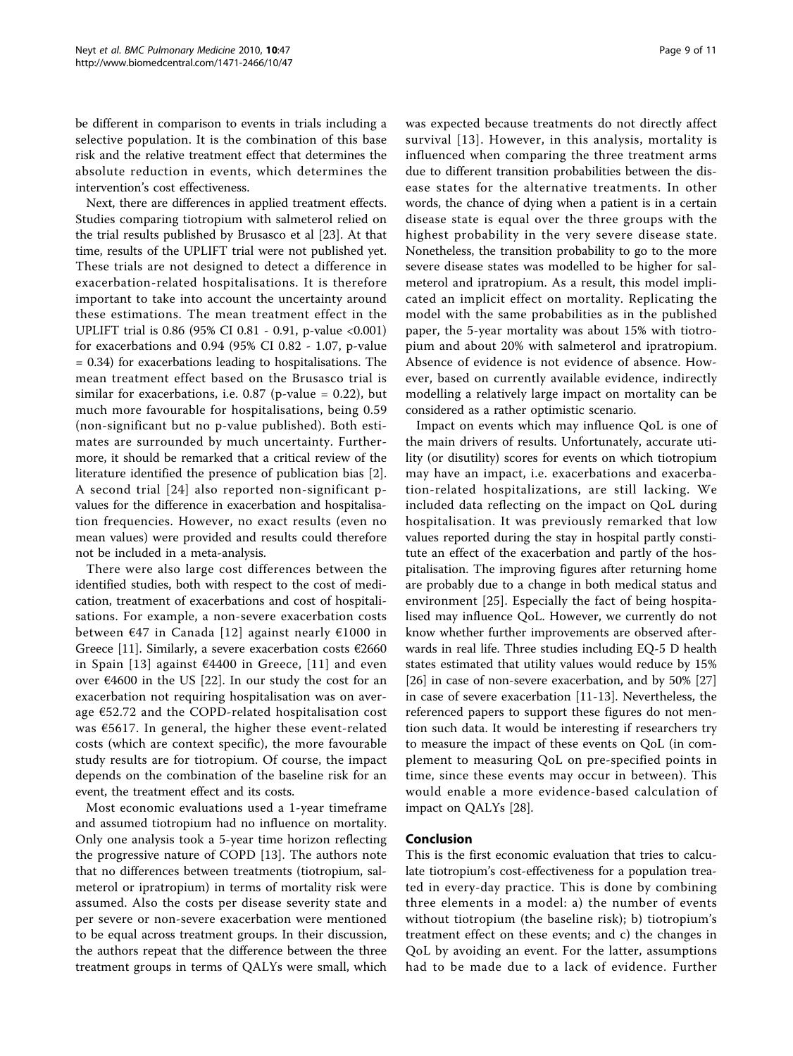be different in comparison to events in trials including a selective population. It is the combination of this base risk and the relative treatment effect that determines the absolute reduction in events, which determines the intervention's cost effectiveness.

Next, there are differences in applied treatment effects. Studies comparing tiotropium with salmeterol relied on the trial results published by Brusasco et al [[23](#page-10-0)]. At that time, results of the UPLIFT trial were not published yet. These trials are not designed to detect a difference in exacerbation-related hospitalisations. It is therefore important to take into account the uncertainty around these estimations. The mean treatment effect in the UPLIFT trial is 0.86 (95% CI 0.81 - 0.91, p-value <0.001) for exacerbations and 0.94 (95% CI 0.82 - 1.07, p-value = 0.34) for exacerbations leading to hospitalisations. The mean treatment effect based on the Brusasco trial is similar for exacerbations, i.e.  $0.87$  (p-value = 0.22), but much more favourable for hospitalisations, being 0.59 (non-significant but no p-value published). Both estimates are surrounded by much uncertainty. Furthermore, it should be remarked that a critical review of the literature identified the presence of publication bias [\[2](#page-9-0)]. A second trial [[24\]](#page-10-0) also reported non-significant pvalues for the difference in exacerbation and hospitalisation frequencies. However, no exact results (even no mean values) were provided and results could therefore not be included in a meta-analysis.

There were also large cost differences between the identified studies, both with respect to the cost of medication, treatment of exacerbations and cost of hospitalisations. For example, a non-severe exacerbation costs between €47 in Canada [[12](#page-9-0)] against nearly €1000 in Greece [[11](#page-9-0)]. Similarly, a severe exacerbation costs  $\epsilon$ 2660 in Spain [[13\]](#page-9-0) against  $64400$  in Greece, [[11](#page-9-0)] and even over  $€4600$  in the US [[22\]](#page-10-0). In our study the cost for an exacerbation not requiring hospitalisation was on average €52.72 and the COPD-related hospitalisation cost was €5617. In general, the higher these event-related costs (which are context specific), the more favourable study results are for tiotropium. Of course, the impact depends on the combination of the baseline risk for an event, the treatment effect and its costs.

Most economic evaluations used a 1-year timeframe and assumed tiotropium had no influence on mortality. Only one analysis took a 5-year time horizon reflecting the progressive nature of COPD [[13\]](#page-9-0). The authors note that no differences between treatments (tiotropium, salmeterol or ipratropium) in terms of mortality risk were assumed. Also the costs per disease severity state and per severe or non-severe exacerbation were mentioned to be equal across treatment groups. In their discussion, the authors repeat that the difference between the three treatment groups in terms of QALYs were small, which was expected because treatments do not directly affect survival [[13](#page-9-0)]. However, in this analysis, mortality is influenced when comparing the three treatment arms due to different transition probabilities between the disease states for the alternative treatments. In other words, the chance of dying when a patient is in a certain disease state is equal over the three groups with the highest probability in the very severe disease state. Nonetheless, the transition probability to go to the more severe disease states was modelled to be higher for salmeterol and ipratropium. As a result, this model implicated an implicit effect on mortality. Replicating the model with the same probabilities as in the published paper, the 5-year mortality was about 15% with tiotropium and about 20% with salmeterol and ipratropium. Absence of evidence is not evidence of absence. However, based on currently available evidence, indirectly modelling a relatively large impact on mortality can be considered as a rather optimistic scenario.

Impact on events which may influence QoL is one of the main drivers of results. Unfortunately, accurate utility (or disutility) scores for events on which tiotropium may have an impact, i.e. exacerbations and exacerbation-related hospitalizations, are still lacking. We included data reflecting on the impact on QoL during hospitalisation. It was previously remarked that low values reported during the stay in hospital partly constitute an effect of the exacerbation and partly of the hospitalisation. The improving figures after returning home are probably due to a change in both medical status and environment [[25\]](#page-10-0). Especially the fact of being hospitalised may influence QoL. However, we currently do not know whether further improvements are observed afterwards in real life. Three studies including EQ-5 D health states estimated that utility values would reduce by 15% [[26\]](#page-10-0) in case of non-severe exacerbation, and by 50% [[27](#page-10-0)] in case of severe exacerbation [[11-13](#page-9-0)]. Nevertheless, the referenced papers to support these figures do not mention such data. It would be interesting if researchers try to measure the impact of these events on QoL (in complement to measuring QoL on pre-specified points in time, since these events may occur in between). This would enable a more evidence-based calculation of impact on QALYs [[28\]](#page-10-0).

## Conclusion

This is the first economic evaluation that tries to calculate tiotropium's cost-effectiveness for a population treated in every-day practice. This is done by combining three elements in a model: a) the number of events without tiotropium (the baseline risk); b) tiotropium's treatment effect on these events; and c) the changes in QoL by avoiding an event. For the latter, assumptions had to be made due to a lack of evidence. Further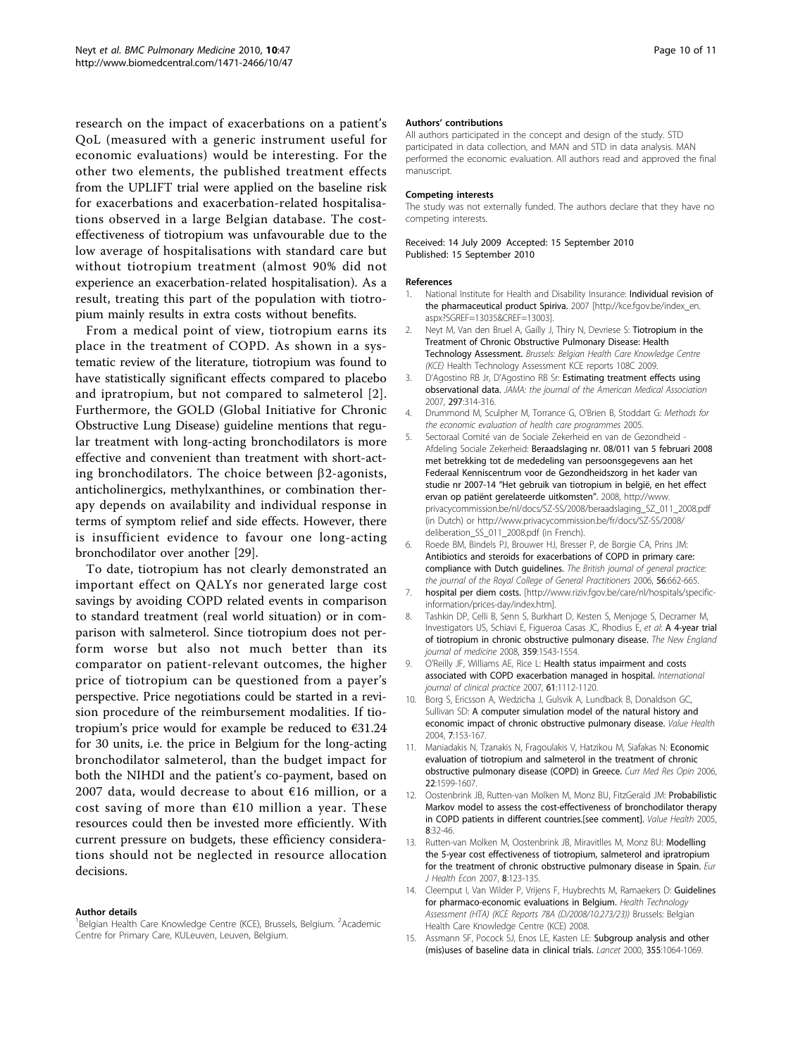<span id="page-9-0"></span>research on the impact of exacerbations on a patient's QoL (measured with a generic instrument useful for economic evaluations) would be interesting. For the other two elements, the published treatment effects from the UPLIFT trial were applied on the baseline risk for exacerbations and exacerbation-related hospitalisations observed in a large Belgian database. The costeffectiveness of tiotropium was unfavourable due to the low average of hospitalisations with standard care but without tiotropium treatment (almost 90% did not experience an exacerbation-related hospitalisation). As a result, treating this part of the population with tiotropium mainly results in extra costs without benefits.

From a medical point of view, tiotropium earns its place in the treatment of COPD. As shown in a systematic review of the literature, tiotropium was found to have statistically significant effects compared to placebo and ipratropium, but not compared to salmeterol [2]. Furthermore, the GOLD (Global Initiative for Chronic Obstructive Lung Disease) guideline mentions that regular treatment with long-acting bronchodilators is more effective and convenient than treatment with short-acting bronchodilators. The choice between  $\beta$ 2-agonists, anticholinergics, methylxanthines, or combination therapy depends on availability and individual response in terms of symptom relief and side effects. However, there is insufficient evidence to favour one long-acting bronchodilator over another [\[29\]](#page-10-0).

To date, tiotropium has not clearly demonstrated an important effect on QALYs nor generated large cost savings by avoiding COPD related events in comparison to standard treatment (real world situation) or in comparison with salmeterol. Since tiotropium does not perform worse but also not much better than its comparator on patient-relevant outcomes, the higher price of tiotropium can be questioned from a payer's perspective. Price negotiations could be started in a revision procedure of the reimbursement modalities. If tiotropium's price would for example be reduced to  $€31.24$ for 30 units, i.e. the price in Belgium for the long-acting bronchodilator salmeterol, than the budget impact for both the NIHDI and the patient's co-payment, based on 2007 data, would decrease to about €16 million, or a cost saving of more than  $€10$  million a year. These resources could then be invested more efficiently. With current pressure on budgets, these efficiency considerations should not be neglected in resource allocation decisions.

#### Author details

<sup>1</sup>Belgian Health Care Knowledge Centre (KCE), Brussels, Belgium. <sup>2</sup>Academic Centre for Primary Care, KULeuven, Leuven, Belgium.

#### Authors' contributions

All authors participated in the concept and design of the study. STD participated in data collection, and MAN and STD in data analysis. MAN performed the economic evaluation. All authors read and approved the final manuscript.

#### Competing interests

The study was not externally funded. The authors declare that they have no competing interests.

#### Received: 14 July 2009 Accepted: 15 September 2010 Published: 15 September 2010

#### References

- National Institute for Health and Disability Insurance: Individual revision of the pharmaceutical product Spiriva. 2007 [[http://kce.fgov.be/index\\_en.](http://kce.fgov.be/index_en.aspx?SGREF=13035&CREF=13003) [aspx?SGREF=13035&CREF=13003](http://kce.fgov.be/index_en.aspx?SGREF=13035&CREF=13003)].
- Neyt M, Van den Bruel A, Gailly J, Thiry N, Devriese S: Tiotropium in the Treatment of Chronic Obstructive Pulmonary Disease: Health Technology Assessment. Brussels: Belgian Health Care Knowledge Centre (KCE) Health Technology Assessment KCE reports 108C 2009.
- 3. D'Agostino RB Jr, D'Agostino RB Sr: [Estimating treatment effects using](http://www.ncbi.nlm.nih.gov/pubmed/17227985?dopt=Abstract) [observational data.](http://www.ncbi.nlm.nih.gov/pubmed/17227985?dopt=Abstract) JAMA: the journal of the American Medical Association 2007, 297:314-316.
- 4. Drummond M, Sculpher M, Torrance G, O'Brien B, Stoddart G: Methods for the economic evaluation of health care programmes 2005.
- 5. Sectoraal Comité van de Sociale Zekerheid en van de Gezondheid Afdeling Sociale Zekerheid: Beraadslaging nr. 08/011 van 5 februari 2008 met betrekking tot de mededeling van persoonsgegevens aan het Federaal Kenniscentrum voor de Gezondheidszorg in het kader van studie nr 2007-14 "Het gebruik van tiotropium in belgië, en het effect ervan op patiënt gerelateerde uitkomsten". 2008, http://www. privacycommission.be/nl/docs/SZ-SS/2008/beraadslaging\_SZ\_011\_2008.pdf (in Dutch) or http://www.privacycommission.be/fr/docs/SZ-SS/2008/ deliberation\_SS\_011\_2008.pdf (in French).
- 6. Roede BM, Bindels PJ, Brouwer HJ, Bresser P, de Borgie CA, Prins JM: [Antibiotics and steroids for exacerbations of COPD in primary care:](http://www.ncbi.nlm.nih.gov/pubmed/16953997?dopt=Abstract) compliance with Dutch quidelines. The British journal of general practice: the journal of the Royal College of General Practitioners 2006, 56:662-665.
- 7. hospital per diem costs. [[http://www.riziv.fgov.be/care/nl/hospitals/specific](http://www.riziv.fgov.be/care/nl/hospitals/specific-information/prices-day/index.htm)[information/prices-day/index.htm\]](http://www.riziv.fgov.be/care/nl/hospitals/specific-information/prices-day/index.htm).
- 8. Tashkin DP, Celli B, Senn S, Burkhart D, Kesten S, Menjoge S, Decramer M, Investigators US, Schiavi E, Figueroa Casas JC, Rhodius E, et al: [A 4-year trial](http://www.ncbi.nlm.nih.gov/pubmed/18836213?dopt=Abstract) [of tiotropium in chronic obstructive pulmonary disease.](http://www.ncbi.nlm.nih.gov/pubmed/18836213?dopt=Abstract) The New England journal of medicine 2008, 359:1543-1554.
- 9. O'Reilly JF, Williams AE, Rice L: [Health status impairment and costs](http://www.ncbi.nlm.nih.gov/pubmed/17577296?dopt=Abstract) [associated with COPD exacerbation managed in hospital.](http://www.ncbi.nlm.nih.gov/pubmed/17577296?dopt=Abstract) International journal of clinical practice 2007, 61:1112-1120.
- 10. Borg S, Ericsson A, Wedzicha J, Gulsvik A, Lundback B, Donaldson GC, Sullivan SD: [A computer simulation model of the natural history and](http://www.ncbi.nlm.nih.gov/pubmed/15164805?dopt=Abstract) [economic impact of chronic obstructive pulmonary disease.](http://www.ncbi.nlm.nih.gov/pubmed/15164805?dopt=Abstract) Value Health 2004, 7:153-167.
- 11. Maniadakis N, Tzanakis N, Fragoulakis V, Hatzikou M, Siafakas N: [Economic](http://www.ncbi.nlm.nih.gov/pubmed/16870084?dopt=Abstract) [evaluation of tiotropium and salmeterol in the treatment of chronic](http://www.ncbi.nlm.nih.gov/pubmed/16870084?dopt=Abstract) [obstructive pulmonary disease \(COPD\) in Greece.](http://www.ncbi.nlm.nih.gov/pubmed/16870084?dopt=Abstract) Curr Med Res Opin 2006, 22:1599-1607.
- 12. Oostenbrink JB, Rutten-van Molken M, Monz BU, FitzGerald JM: [Probabilistic](http://www.ncbi.nlm.nih.gov/pubmed/15841892?dopt=Abstract) [Markov model to assess the cost-effectiveness of bronchodilator therapy](http://www.ncbi.nlm.nih.gov/pubmed/15841892?dopt=Abstract) [in COPD patients in different countries.\[see comment\].](http://www.ncbi.nlm.nih.gov/pubmed/15841892?dopt=Abstract) Value Health 2005, 8:32-46.
- 13. Rutten-van Molken M, Oostenbrink JB, Miravitlles M, Monz BU: [Modelling](http://www.ncbi.nlm.nih.gov/pubmed/17370096?dopt=Abstract) [the 5-year cost effectiveness of tiotropium, salmeterol and ipratropium](http://www.ncbi.nlm.nih.gov/pubmed/17370096?dopt=Abstract) [for the treatment of chronic obstructive pulmonary disease in Spain.](http://www.ncbi.nlm.nih.gov/pubmed/17370096?dopt=Abstract) Eur J Health Econ 2007, 8:123-135.
- 14. Cleemput I, Van Wilder P, Vrijens F, Huybrechts M, Ramaekers D: Guidelines for pharmaco-economic evaluations in Belgium. Health Technology Assessment (HTA) (KCE Reports 78A (D/2008/10.273/23)) Brussels: Belgian Health Care Knowledge Centre (KCE) 2008.
- 15. Assmann SF, Pocock SJ, Enos LE, Kasten LE: [Subgroup analysis and other](http://www.ncbi.nlm.nih.gov/pubmed/10744093?dopt=Abstract) [\(mis\)uses of baseline data in clinical trials.](http://www.ncbi.nlm.nih.gov/pubmed/10744093?dopt=Abstract) Lancet 2000, 355:1064-1069.